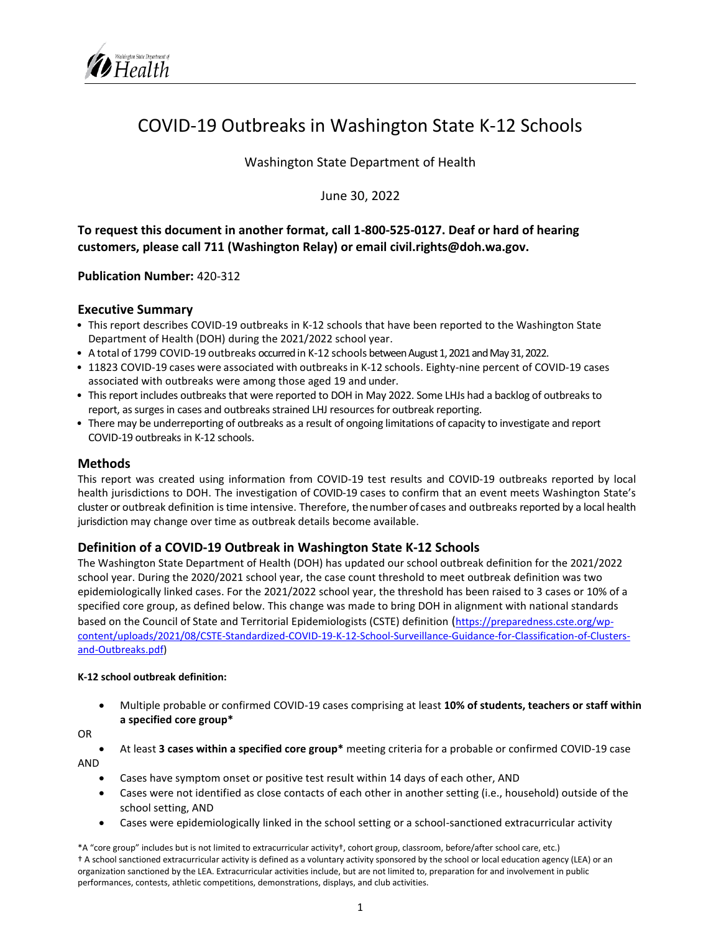# COVID‐19 Outbreaks in Washington State K‐12 Schools

Washington State Department of Health

June 30, 2022

**To request this document in another format, call 1-800-525-0127. Deaf or hard of hearing customers, please call 711 (Washington Relay) or email civil.rights@doh.wa.gov.** 

#### **Publication Number:** 420-312

#### **Executive Summary**

- This report describes COVID-19 outbreaks in K-12 schools that have been reported to the Washington State Department of Health (DOH) during the 2021/2022 school year.
- A total of 1799 COVID-19 outbreaks occurred in K-12 schools between August 1, 2021 and May 31, 2022.
- 11823 COVID-19 cases were associated with outbreaks in K-12 schools. Eighty-nine percent of COVID-19 cases associated with outbreaks were among those aged 19 and under.
- This report includes outbreaks that were reported to DOH in May 2022. Some LHJs had a backlog of outbreaks to report, as surges in cases and outbreaks strained LHJ resources for outbreak reporting.
- There may be underreporting of outbreaks as a result of ongoing limitations of capacity to investigate and report COVID-19 outbreaks in K-12 schools.

#### **Methods**

This report was created using information from COVID-19 test results and COVID-19 outbreaks reported by local health jurisdictions to DOH. The investigation of COVID-19 cases to confirm that an event meets Washington State's cluster or outbreak definition is time intensive. Therefore, thenumber of cases and outbreaks reported by a local health jurisdiction may change over time as outbreak details become available.

#### **Definition of a COVID‐19 Outbreak in Washington State K‐12 Schools**

The Washington State Department of Health (DOH) has updated our school outbreak definition for the 2021/2022 school year. During the 2020/2021 school year, the case count threshold to meet outbreak definition was two epidemiologically linked cases. For the 2021/2022 school year, the threshold has been raised to 3 cases or 10% of a specified core group, as defined below. This change was made to bring DOH in alignment with national standards based on the Council of State and Territorial Epidemiologists (CSTE) definition ([https://preparedness.cste.org/wp](https://preparedness.cste.org/wp-content/uploads/2021/08/CSTE-Standardized-COVID-19-K-12-School-Surveillance-Guidance-for-Classification-of-Clusters-and-Outbreaks.pdf)[content/uploads/2021/08/CSTE-Standardized-COVID-19-K-12-School-Surveillance-Guidance-for-Classification-of-Clusters](https://preparedness.cste.org/wp-content/uploads/2021/08/CSTE-Standardized-COVID-19-K-12-School-Surveillance-Guidance-for-Classification-of-Clusters-and-Outbreaks.pdf)[and-Outbreaks.pdf\)](https://preparedness.cste.org/wp-content/uploads/2021/08/CSTE-Standardized-COVID-19-K-12-School-Surveillance-Guidance-for-Classification-of-Clusters-and-Outbreaks.pdf)

#### **K-12 school outbreak definition:**

• Multiple probable or confirmed COVID-19 cases comprising at least **10% of students, teachers or staff within a specified core group\***

OR

- At least **3 cases within a specified core group\*** meeting criteria for a probable or confirmed COVID-19 case AND
	- Cases have symptom onset or positive test result within 14 days of each other, AND
	- Cases were not identified as close contacts of each other in another setting (i.e., household) outside of the school setting, AND
	- Cases were epidemiologically linked in the school setting or a school-sanctioned extracurricular activity

\*A "core group" includes but is not limited to extracurricular activity†, cohort group, classroom, before/after school care, etc.) † A school sanctioned extracurricular activity is defined as a voluntary activity sponsored by the school or local education agency (LEA) or an organization sanctioned by the LEA. Extracurricular activities include, but are not limited to, preparation for and involvement in public performances, contests, athletic competitions, demonstrations, displays, and club activities.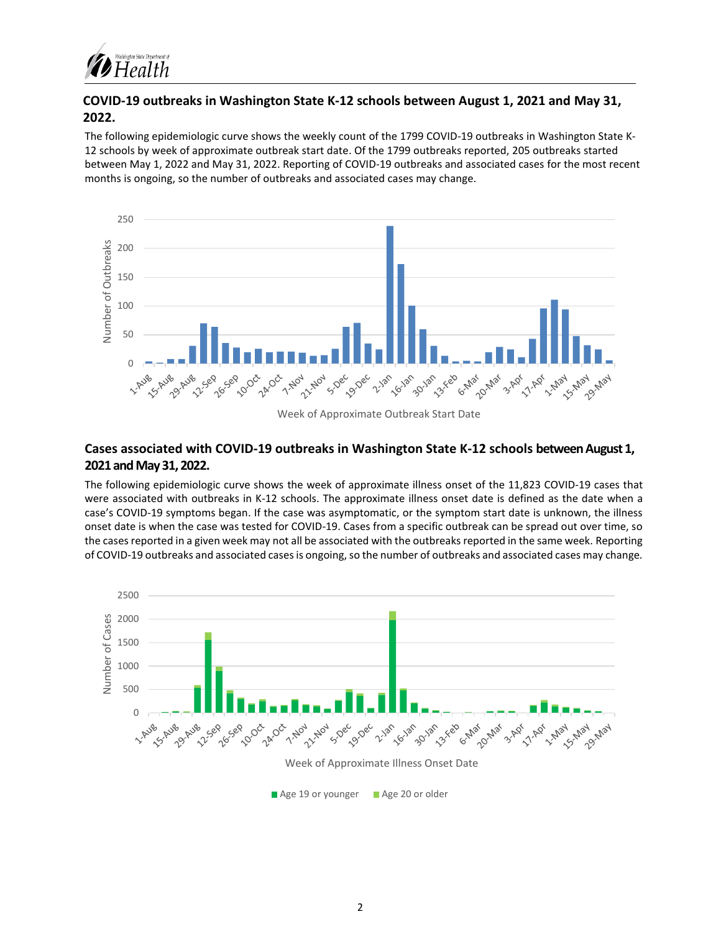

## **COVID‐19 outbreaks in Washington State K‐12 schools between August 1, 2021 and May 31, 2022.**

The following epidemiologic curve shows the weekly count of the 1799 COVID-19 outbreaks in Washington State K-12 schools by week of approximate outbreak start date. Of the 1799 outbreaks reported, 205 outbreaks started between May 1, 2022 and May 31, 2022. Reporting of COVID-19 outbreaks and associated cases for the most recent months is ongoing, so the number of outbreaks and associated cases may change.



Week of Approximate Outbreak Start Date

## **Cases associated with COVID‐19 outbreaks in Washington State K‐12 schools between August 1, 2021 and May 31, 2022.**

The following epidemiologic curve shows the week of approximate illness onset of the 11,823 COVID-19 cases that were associated with outbreaks in K-12 schools. The approximate illness onset date is defined as the date when a case's COVID-19 symptoms began. If the case was asymptomatic, or the symptom start date is unknown, the illness onset date is when the case was tested for COVID-19. Cases from a specific outbreak can be spread out over time, so the cases reported in a given week may not all be associated with the outbreaks reported in the same week. Reporting of COVID-19 outbreaks and associated cases is ongoing, so the number of outbreaks and associated cases may change.

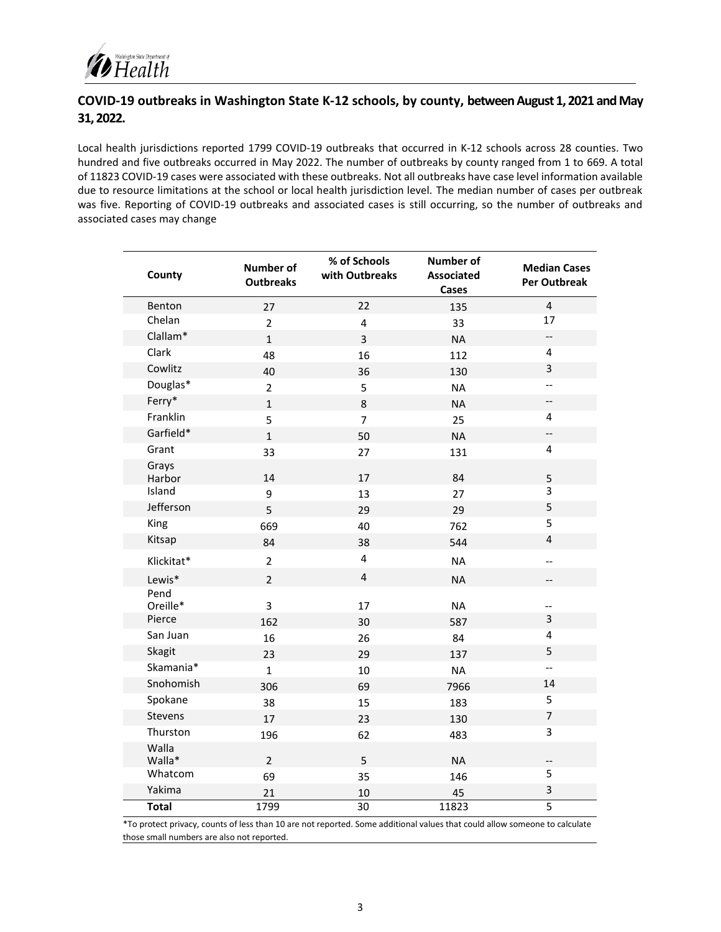

## **COVID-19 outbreaks in Washington State K‐12 schools, by county, between August 1, 2021 and May 31, 2022.**

Local health jurisdictions reported 1799 COVID-19 outbreaks that occurred in K-12 schools across 28 counties. Two hundred and five outbreaks occurred in May 2022. The number of outbreaks by county ranged from 1 to 669. A total of 11823 COVID-19 cases were associated with these outbreaks. Not all outbreaks have case level information available due to resource limitations at the school or local health jurisdiction level. The median number of cases per outbreak was five. Reporting of COVID-19 outbreaks and associated cases is still occurring, so the number of outbreaks and associated cases may change

| County           | <b>Number of</b><br><b>Outbreaks</b> | % of Schools<br>with Outbreaks | <b>Number of</b><br><b>Associated</b><br><b>Cases</b> | <b>Median Cases</b><br>Per Outbreak |
|------------------|--------------------------------------|--------------------------------|-------------------------------------------------------|-------------------------------------|
| Benton           | 27                                   | 22                             | 135                                                   | $\overline{4}$                      |
| Chelan           | $\overline{2}$                       | $\overline{4}$                 | 33                                                    | 17                                  |
| Clallam*         | $\mathbf{1}$                         | 3                              | <b>NA</b>                                             | $\overline{\phantom{a}}$            |
| Clark            | 48                                   | 16                             | 112                                                   | 4                                   |
| Cowlitz          | 40                                   | 36                             | 130                                                   | 3                                   |
| Douglas*         | $\overline{2}$                       | 5                              | <b>NA</b>                                             | $-$                                 |
| Ferry*           | $\mathbf{1}$                         | 8                              | <b>NA</b>                                             | $\overline{\phantom{a}}$            |
| Franklin         | 5                                    | $\overline{7}$                 | 25                                                    | 4                                   |
| Garfield*        | $\mathbf{1}$                         | 50                             | <b>NA</b>                                             | --                                  |
| Grant            | 33                                   | 27                             | 131                                                   | 4                                   |
| Grays<br>Harbor  | 14                                   | 17                             | 84                                                    | 5                                   |
| Island           | 9                                    | 13                             | 27                                                    | 3                                   |
| Jefferson        | 5                                    | 29                             | 29                                                    | 5                                   |
| King             | 669                                  | 40                             | 762                                                   | 5                                   |
| Kitsap           | 84                                   | 38                             | 544                                                   | $\overline{4}$                      |
| Klickitat*       | $\overline{2}$                       | $\overline{4}$                 | <b>NA</b>                                             | --                                  |
| Lewis*           | $\overline{2}$                       | 4                              | <b>NA</b>                                             | --                                  |
| Pend<br>Oreille* | 3                                    | 17                             | <b>NA</b>                                             | $\overline{\phantom{a}}$            |
| Pierce           | 162                                  | 30                             | 587                                                   | 3                                   |
| San Juan         | 16                                   | 26                             | 84                                                    | $\overline{\mathbf{4}}$             |
| Skagit           | 23                                   | 29                             | 137                                                   | 5                                   |
| Skamania*        | $\mathbf{1}$                         | 10                             | <b>NA</b>                                             | $- -$                               |
| Snohomish        | 306                                  | 69                             | 7966                                                  | 14                                  |
| Spokane          | 38                                   | 15                             | 183                                                   | 5                                   |
| <b>Stevens</b>   | 17                                   | 23                             | 130                                                   | $\overline{7}$                      |
| Thurston         | 196                                  | 62                             | 483                                                   | 3                                   |
| Walla<br>Walla*  | $\overline{2}$                       | 5                              | <b>NA</b>                                             | --                                  |
| Whatcom          | 69                                   | 35                             | 146                                                   | 5                                   |
| Yakima           | 21                                   | 10                             | 45                                                    | 3                                   |
| <b>Total</b>     | 1799                                 | 30                             | 11823                                                 | $\overline{5}$                      |

\*To protect privacy, counts of less than 10 are not reported. Some additional values that could allow someone to calculate those small numbers are also not reported.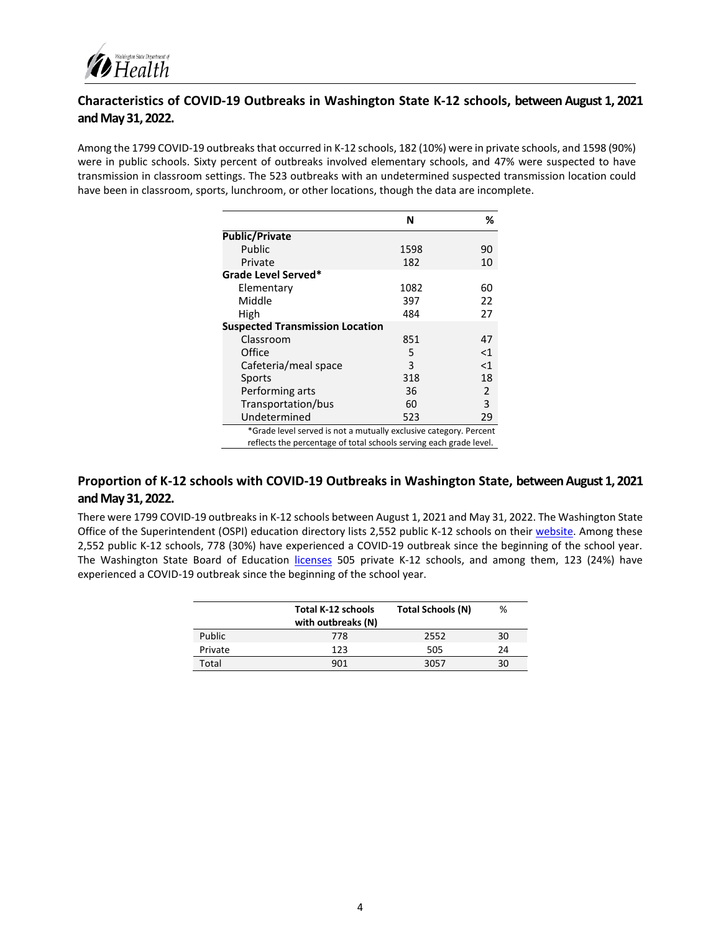

## **Characteristics of COVID-19 Outbreaks in Washington State K-12 schools, between August 1, 2021 and May 31, 2022.**

Among the 1799 COVID-19 outbreaks that occurred in K-12 schools, 182 (10%) were in private schools, and 1598 (90%) were in public schools. Sixty percent of outbreaks involved elementary schools, and 47% were suspected to have transmission in classroom settings. The 523 outbreaks with an undetermined suspected transmission location could have been in classroom, sports, lunchroom, or other locations, though the data are incomplete.

|                                                                                                                                         | N    | %     |
|-----------------------------------------------------------------------------------------------------------------------------------------|------|-------|
| <b>Public/Private</b>                                                                                                                   |      |       |
| Public                                                                                                                                  | 1598 | 90    |
| Private                                                                                                                                 | 182  | 10    |
| Grade Level Served*                                                                                                                     |      |       |
| Elementary                                                                                                                              | 1082 | 60    |
| Middle                                                                                                                                  | 397  | 22    |
| High                                                                                                                                    | 484  | 27    |
| <b>Suspected Transmission Location</b>                                                                                                  |      |       |
| Classroom                                                                                                                               | 851  | 47    |
| Office                                                                                                                                  | 5    | $<$ 1 |
| Cafeteria/meal space                                                                                                                    | 3    | $<$ 1 |
| Sports                                                                                                                                  | 318  | 18    |
| Performing arts                                                                                                                         | 36   | 2     |
| Transportation/bus                                                                                                                      | 60   | 3     |
| Undetermined                                                                                                                            | 523  | 29    |
| *Grade level served is not a mutually exclusive category. Percent<br>reflects the percentage of total schools serving each grade level. |      |       |

## **Proportion of K-12 schools with COVID-19 Outbreaks in Washington State, between August 1, 2021 and May 31, 2022.**

There were 1799 COVID-19 outbreaks in K-12 schools between August 1, 2021 and May 31, 2022. The Washington State Office of the Superintendent (OSPI) education directory lists 2,552 public K-12 schools on their [website.](https://eds.ospi.k12.wa.us/DirectoryEDS.aspx) Among these 2,552 public K-12 schools, 778 (30%) have experienced a COVID-19 outbreak since the beginning of the school year. The Washington State Board of Education [licenses](https://www.sbe.wa.gov/our-work/private-schools) 505 private K-12 schools, and among them, 123 (24%) have experienced a COVID-19 outbreak since the beginning of the school year.

|         | <b>Total K-12 schools</b><br>with outbreaks (N) | <b>Total Schools (N)</b> | %  |
|---------|-------------------------------------------------|--------------------------|----|
| Public  | 778                                             | 2552                     | 30 |
| Private | 123                                             | 505                      | 24 |
| Total   | 901                                             | 3057                     | 30 |